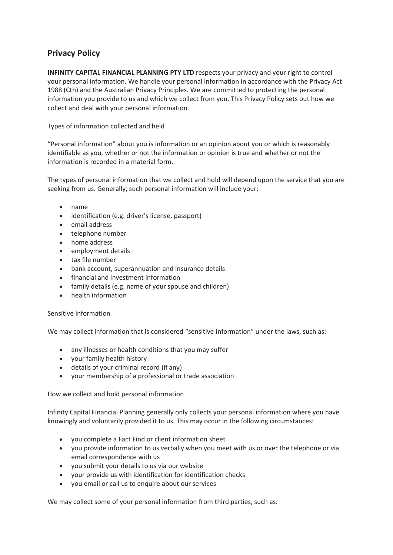## **Privacy Policy**

**INFINITY CAPITAL FINANCIAL PLANNING PTY LTD** respects your privacy and your right to control your personal information. We handle your personal information in accordance with the Privacy Act 1988 (Cth) and the Australian Privacy Principles. We are committed to protecting the personal information you provide to us and which we collect from you. This Privacy Policy sets out how we collect and deal with your personal information.

## Types of information collected and held

"Personal information" about you is information or an opinion about you or which is reasonably identifiable as you, whether or not the information or opinion is true and whether or not the information is recorded in a material form.

The types of personal information that we collect and hold will depend upon the service that you are seeking from us. Generally, such personal information will include your:

- name
- identification (e.g. driver's license, passport)
- email address
- telephone number
- home address
- employment details
- tax file number
- bank account, superannuation and insurance details
- financial and investment information
- family details (e.g. name of your spouse and children)
- health information

## Sensitive information

We may collect information that is considered "sensitive information" under the laws, such as:

- any illnesses or health conditions that you may suffer
- your family health history
- details of your criminal record (if any)
- your membership of a professional or trade association

How we collect and hold personal information

Infinity Capital Financial Planning generally only collects your personal information where you have knowingly and voluntarily provided it to us. This may occur in the following circumstances:

- you complete a Fact Find or client information sheet
- you provide information to us verbally when you meet with us or over the telephone or via email correspondence with us
- you submit your details to us via our website
- your provide us with identification for identification checks
- you email or call us to enquire about our services

We may collect some of your personal information from third parties, such as: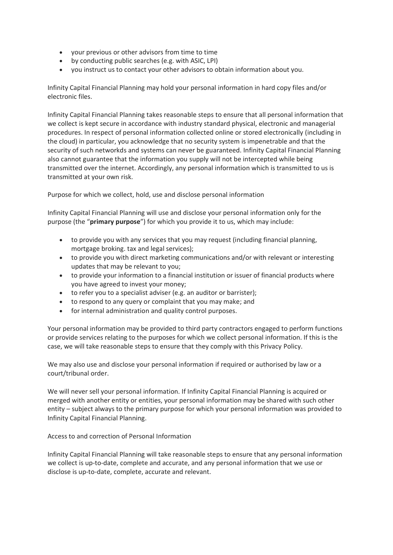- your previous or other advisors from time to time
- by conducting public searches (e.g. with ASIC, LPI)
- you instruct us to contact your other advisors to obtain information about you.

Infinity Capital Financial Planning may hold your personal information in hard copy files and/or electronic files.

Infinity Capital Financial Planning takes reasonable steps to ensure that all personal information that we collect is kept secure in accordance with industry standard physical, electronic and managerial procedures. In respect of personal information collected online or stored electronically (including in the cloud) in particular, you acknowledge that no security system is impenetrable and that the security of such networkds and systems can never be guaranteed. Infinity Capital Financial Planning also cannot guarantee that the information you supply will not be intercepted while being transmitted over the internet. Accordingly, any personal information which is transmitted to us is transmitted at your own risk.

Purpose for which we collect, hold, use and disclose personal information

Infinity Capital Financial Planning will use and disclose your personal information only for the purpose (the "**primary purpose**") for which you provide it to us, which may include:

- to provide you with any services that you may request (including financial planning, mortgage broking. tax and legal services);
- to provide you with direct marketing communications and/or with relevant or interesting updates that may be relevant to you;
- to provide your information to a financial institution or issuer of financial products where you have agreed to invest your money;
- to refer you to a specialist adviser (e.g. an auditor or barrister);
- to respond to any query or complaint that you may make; and
- for internal administration and quality control purposes.

Your personal information may be provided to third party contractors engaged to perform functions or provide services relating to the purposes for which we collect personal information. If this is the case, we will take reasonable steps to ensure that they comply with this Privacy Policy.

We may also use and disclose your personal information if required or authorised by law or a court/tribunal order.

We will never sell your personal information. If Infinity Capital Financial Planning is acquired or merged with another entity or entities, your personal information may be shared with such other entity – subject always to the primary purpose for which your personal information was provided to Infinity Capital Financial Planning.

Access to and correction of Personal Information

Infinity Capital Financial Planning will take reasonable steps to ensure that any personal information we collect is up-to-date, complete and accurate, and any personal information that we use or disclose is up-to-date, complete, accurate and relevant.